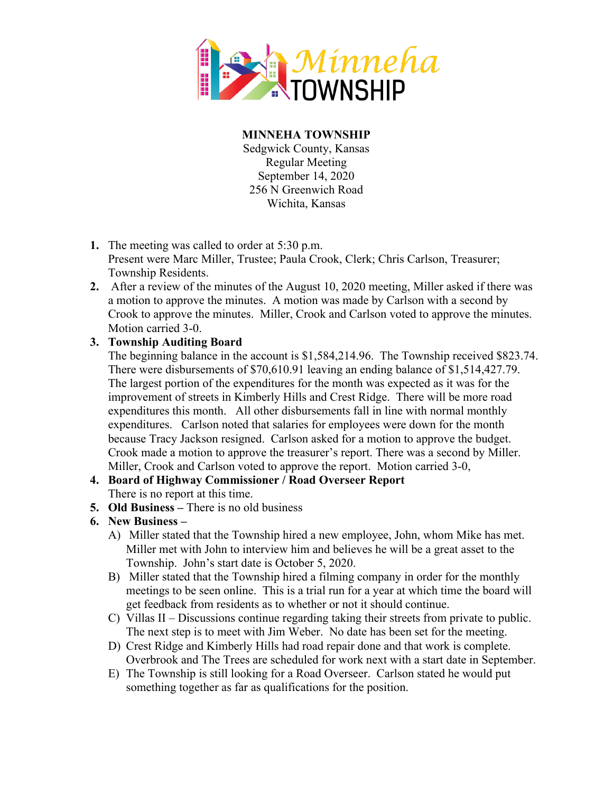

**MINNEHA TOWNSHIP** Sedgwick County, Kansas Regular Meeting September 14, 2020 256 N Greenwich Road Wichita, Kansas

- **1.** The meeting was called to order at 5:30 p.m. Present were Marc Miller, Trustee; Paula Crook, Clerk; Chris Carlson, Treasurer; Township Residents.
- **2.** After a review of the minutes of the August 10, 2020 meeting, Miller asked if there was a motion to approve the minutes. A motion was made by Carlson with a second by Crook to approve the minutes. Miller, Crook and Carlson voted to approve the minutes. Motion carried 3-0.

## **3. Township Auditing Board**

The beginning balance in the account is \$1,584,214.96. The Township received \$823.74. There were disbursements of \$70,610.91 leaving an ending balance of \$1,514,427.79. The largest portion of the expenditures for the month was expected as it was for the improvement of streets in Kimberly Hills and Crest Ridge. There will be more road expenditures this month. All other disbursements fall in line with normal monthly expenditures. Carlson noted that salaries for employees were down for the month because Tracy Jackson resigned. Carlson asked for a motion to approve the budget. Crook made a motion to approve the treasurer's report. There was a second by Miller. Miller, Crook and Carlson voted to approve the report. Motion carried 3-0,

- **4. Board of Highway Commissioner / Road Overseer Report** There is no report at this time.
- **5. Old Business –** There is no old business

## **6. New Business –**

- A) Miller stated that the Township hired a new employee, John, whom Mike has met. Miller met with John to interview him and believes he will be a great asset to the Township. John's start date is October 5, 2020.
- B) Miller stated that the Township hired a filming company in order for the monthly meetings to be seen online. This is a trial run for a year at which time the board will get feedback from residents as to whether or not it should continue.
- C) Villas II Discussions continue regarding taking their streets from private to public. The next step is to meet with Jim Weber. No date has been set for the meeting.
- D) Crest Ridge and Kimberly Hills had road repair done and that work is complete. Overbrook and The Trees are scheduled for work next with a start date in September.
- E) The Township is still looking for a Road Overseer. Carlson stated he would put something together as far as qualifications for the position.